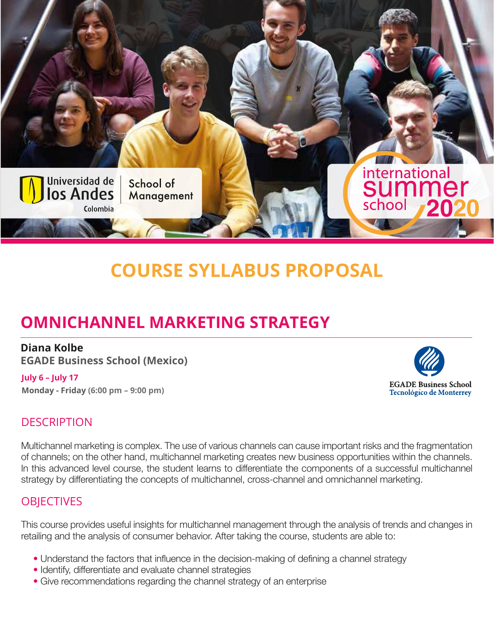

# **COURSE SYLLABUS PROPOSAL**

# **OMNICHANNEL MARKETING STRATEGY**

#### **Diana Kolbe**

**EGADE Business School (Mexico)**

#### **July 6 – July 17 Monday - Friday (6:00 pm – 9:00 pm)**



## **DESCRIPTION**

Multichannel marketing is complex. The use of various channels can cause important risks and the fragmentation of channels; on the other hand, multichannel marketing creates new business opportunities within the channels. In this advanced level course, the student learns to differentiate the components of a successful multichannel strategy by differentiating the concepts of multichannel, cross-channel and omnichannel marketing.

#### **OBIECTIVES**

This course provides useful insights for multichannel management through the analysis of trends and changes in retailing and the analysis of consumer behavior. After taking the course, students are able to:

- Understand the factors that influence in the decision-making of defining a channel strategy
- Identify, differentiate and evaluate channel strategies
- Give recommendations regarding the channel strategy of an enterprise